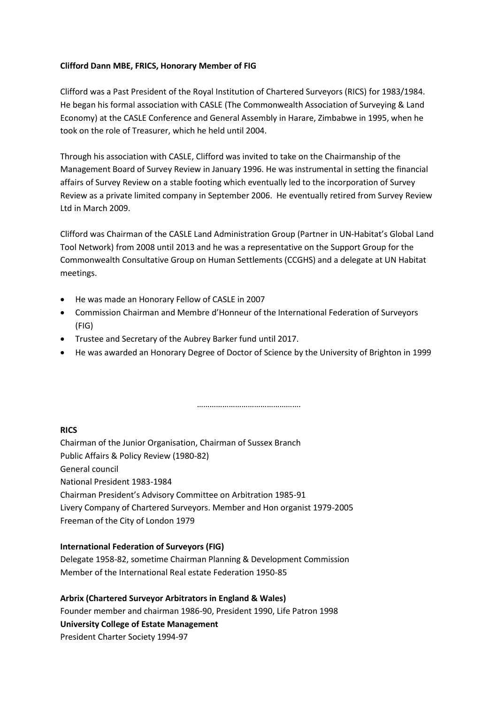## **Clifford Dann MBE, FRICS, Honorary Member of FIG**

Clifford was a Past President of the Royal Institution of Chartered Surveyors (RICS) for 1983/1984. He began his formal association with CASLE (The Commonwealth Association of Surveying & Land Economy) at the CASLE Conference and General Assembly in Harare, Zimbabwe in 1995, when he took on the role of Treasurer, which he held until 2004.

Through his association with CASLE, Clifford was invited to take on the Chairmanship of the Management Board of Survey Review in January 1996. He was instrumental in setting the financial affairs of Survey Review on a stable footing which eventually led to the incorporation of Survey Review as a private limited company in September 2006. He eventually retired from Survey Review Ltd in March 2009.

Clifford was Chairman of the CASLE Land Administration Group (Partner in UN-Habitat's Global Land Tool Network) from 2008 until 2013 and he was a representative on the Support Group for the Commonwealth Consultative Group on Human Settlements (CCGHS) and a delegate at UN Habitat meetings.

- He was made an Honorary Fellow of CASLE in 2007
- Commission Chairman and Membre d'Honneur of the International Federation of Surveyors (FIG)
- Trustee and Secretary of the Aubrey Barker fund until 2017.
- He was awarded an Honorary Degree of Doctor of Science by the University of Brighton in 1999

…………………………………………

## **RICS**

Chairman of the Junior Organisation, Chairman of Sussex Branch Public Affairs & Policy Review (1980-82) General council National President 1983-1984 Chairman President's Advisory Committee on Arbitration 1985-91 Livery Company of Chartered Surveyors. Member and Hon organist 1979-2005 Freeman of the City of London 1979

## **International Federation of Surveyors (FIG)**

Delegate 1958-82, sometime Chairman Planning & Development Commission Member of the International Real estate Federation 1950-85

**Arbrix (Chartered Surveyor Arbitrators in England & Wales)** Founder member and chairman 1986-90, President 1990, Life Patron 1998 **University College of Estate Management**  President Charter Society 1994-97